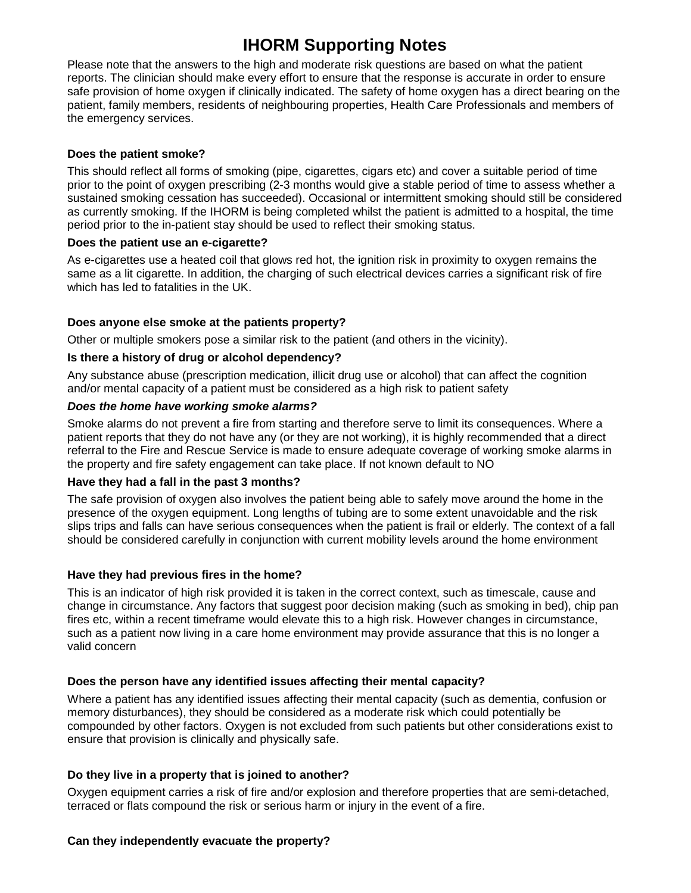# **IHORM Supporting Notes**

Please note that the answers to the high and moderate risk questions are based on what the patient reports. The clinician should make every effort to ensure that the response is accurate in order to ensure safe provision of home oxygen if clinically indicated. The safety of home oxygen has a direct bearing on the patient, family members, residents of neighbouring properties, Health Care Professionals and members of the emergency services.

#### **Does the patient smoke?**

This should reflect all forms of smoking (pipe, cigarettes, cigars etc) and cover a suitable period of time prior to the point of oxygen prescribing (2-3 months would give a stable period of time to assess whether a sustained smoking cessation has succeeded). Occasional or intermittent smoking should still be considered as currently smoking. If the IHORM is being completed whilst the patient is admitted to a hospital, the time period prior to the in-patient stay should be used to reflect their smoking status.

#### **Does the patient use an e-cigarette?**

As e-cigarettes use a heated coil that glows red hot, the ignition risk in proximity to oxygen remains the same as a lit cigarette. In addition, the charging of such electrical devices carries a significant risk of fire which has led to fatalities in the UK.

#### **Does anyone else smoke at the patients property?**

Other or multiple smokers pose a similar risk to the patient (and others in the vicinity).

#### **Is there a history of drug or alcohol dependency?**

Any substance abuse (prescription medication, illicit drug use or alcohol) that can affect the cognition and/or mental capacity of a patient must be considered as a high risk to patient safety

#### **Does the home have working smoke alarms?**

Smoke alarms do not prevent a fire from starting and therefore serve to limit its consequences. Where a patient reports that they do not have any (or they are not working), it is highly recommended that a direct referral to the Fire and Rescue Service is made to ensure adequate coverage of working smoke alarms in the property and fire safety engagement can take place. If not known default to NO

#### **Have they had a fall in the past 3 months?**

The safe provision of oxygen also involves the patient being able to safely move around the home in the presence of the oxygen equipment. Long lengths of tubing are to some extent unavoidable and the risk slips trips and falls can have serious consequences when the patient is frail or elderly. The context of a fall should be considered carefully in conjunction with current mobility levels around the home environment

#### **Have they had previous fires in the home?**

This is an indicator of high risk provided it is taken in the correct context, such as timescale, cause and change in circumstance. Any factors that suggest poor decision making (such as smoking in bed), chip pan fires etc, within a recent timeframe would elevate this to a high risk. However changes in circumstance, such as a patient now living in a care home environment may provide assurance that this is no longer a valid concern

#### **Does the person have any identified issues affecting their mental capacity?**

Where a patient has any identified issues affecting their mental capacity (such as dementia, confusion or memory disturbances), they should be considered as a moderate risk which could potentially be compounded by other factors. Oxygen is not excluded from such patients but other considerations exist to ensure that provision is clinically and physically safe.

#### **Do they live in a property that is joined to another?**

Oxygen equipment carries a risk of fire and/or explosion and therefore properties that are semi-detached, terraced or flats compound the risk or serious harm or injury in the event of a fire.

#### **Can they independently evacuate the property?**